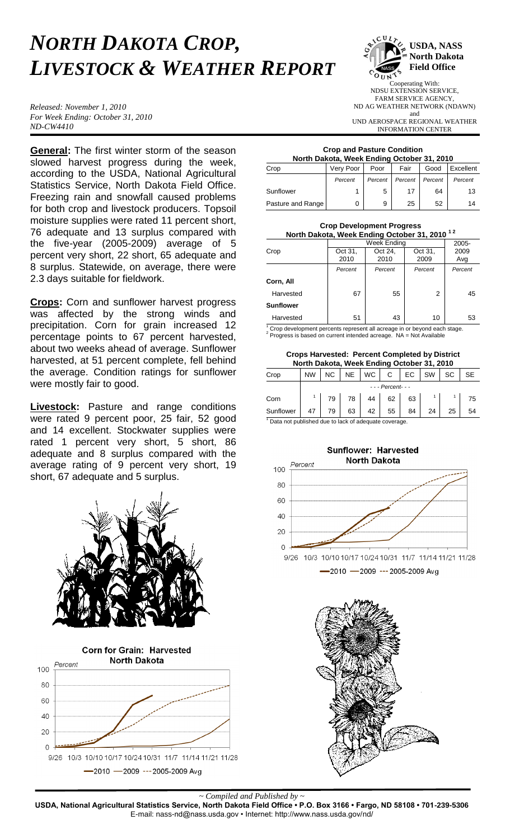## *NORTH DAKOTA CROP, LIVESTOCK & WEATHER REPORT*

*Released: November 1, 2010 For Week Ending: October 31, 2010 ND-CW4410*

**General:** The first winter storm of the season slowed harvest progress during the week, according to the USDA, National Agricultural Statistics Service, North Dakota Field Office. Freezing rain and snowfall caused problems for both crop and livestock producers. Topsoil moisture supplies were rated 11 percent short, 76 adequate and 13 surplus compared with the five-year (2005-2009) average of 5 percent very short, 22 short, 65 adequate and 8 surplus. Statewide, on average, there were 2.3 days suitable for fieldwork.

**Crops:** Corn and sunflower harvest progress was affected by the strong winds and precipitation. Corn for grain increased 12 percentage points to 67 percent harvested, about two weeks ahead of average. Sunflower harvested, at 51 percent complete, fell behind the average. Condition ratings for sunflower were mostly fair to good.

**Livestock:** Pasture and range conditions were rated 9 percent poor, 25 fair, 52 good and 14 excellent. Stockwater supplies were rated 1 percent very short, 5 short, 86 adequate and 8 surplus compared with the average rating of 9 percent very short, 19 short, 67 adequate and 5 surplus.





**USDA, NASS North Dakota Field Office** Cooperating With: NDSU EXTENSION SERVICE,

FARM SERVICE AGENCY, ND AG WEATHER NETWORK (NDAWN) and UND AEROSPACE REGIONAL WEATHER

INFORMATION CENTER

## **Crop and Pasture Condition North Dakota, Week Ending October 31, 2010**

| Crop              | Very Poor | Poor    | Fair    | Good    | Excellent |
|-------------------|-----------|---------|---------|---------|-----------|
|                   | Percent   | Percent | Percent | Percent | Percent   |
| Sunflower         |           | 5       | 17      | 64      | 13        |
| Pasture and Range |           | 9       | 25      | 52      | 14        |

| <b>Crop Development Progress</b><br>North Dakota, Week Ending October 31, 2010 <sup>12</sup> |                         |                 |                 |             |  |  |  |  |
|----------------------------------------------------------------------------------------------|-------------------------|-----------------|-----------------|-------------|--|--|--|--|
|                                                                                              | Week Endina<br>$2005 -$ |                 |                 |             |  |  |  |  |
| Crop                                                                                         | Oct 31.<br>2010         | Oct 24,<br>2010 | Oct 31.<br>2009 | 2009<br>Avg |  |  |  |  |
|                                                                                              | Percent                 | Percent         | Percent         | Percent     |  |  |  |  |
| Corn, All                                                                                    |                         |                 |                 |             |  |  |  |  |
| Harvested                                                                                    | 67                      | 55              | 2               | 45          |  |  |  |  |
| <b>Sunflower</b>                                                                             |                         |                 |                 |             |  |  |  |  |
| Harvested                                                                                    | 51                      | 43              | 10              | 53          |  |  |  |  |

 $1$  Crop development percents represent all acreage in or beyond each stage.  $2$  Progress is based on current intended acreage. NA = Not Available

**Crops Harvested: Percent Completed by District North Dakota, Week Ending October 31, 2010**

| <b>NOTE: Danola, NGCA Ending October 91, 2010</b>    |           |                    |           |           |    |    |           |           |           |
|------------------------------------------------------|-----------|--------------------|-----------|-----------|----|----|-----------|-----------|-----------|
| Crop                                                 | <b>NW</b> | NC.                | <b>NE</b> | <b>WC</b> | С  | EС | <b>SW</b> | <b>SC</b> | <b>SE</b> |
|                                                      |           | - - - Percent- - - |           |           |    |    |           |           |           |
| Corn                                                 |           | 79                 | 78        | 44        | 62 | 63 |           |           | 75        |
| Sunflower                                            | 47        | 79                 | 63        | 42        | 55 | 84 | 24        | 25        | 54        |
| Data not published due to lack of adequate coverage. |           |                    |           |           |    |    |           |           |           |

 $1$  Data not published due to lack of adequate coverage.





*~ Compiled and Published by ~*

**USDA, National Agricultural Statistics Service, North Dakota Field Office • P.O. Box 3166 • Fargo, ND 58108 • 701-239-5306** E-mail: nass-nd@nass.usda.gov • Internet: http://www.nass.usda.gov/nd/